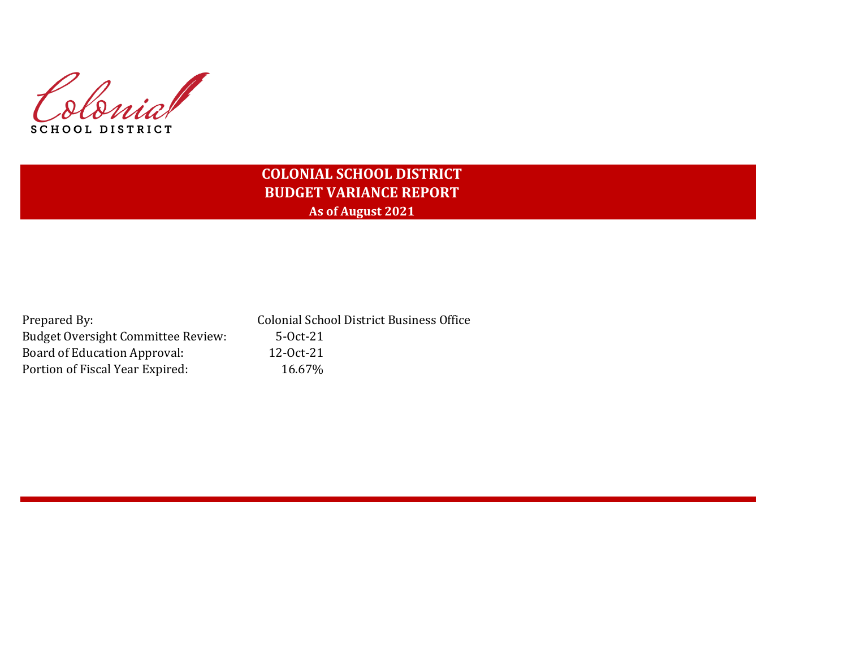Colonial SCHOOL DISTRICT

# **COLONIAL SCHOOL DISTRICT BUDGET VARIANCE REPORT As of August 2021**

| Prepared By:                              | <b>Colonial School District Business Office</b> |
|-------------------------------------------|-------------------------------------------------|
| <b>Budget Oversight Committee Review:</b> | $5-0ct-21$                                      |
| Board of Education Approval:              | 12-0ct-21                                       |
| Portion of Fiscal Year Expired:           | 16.67%                                          |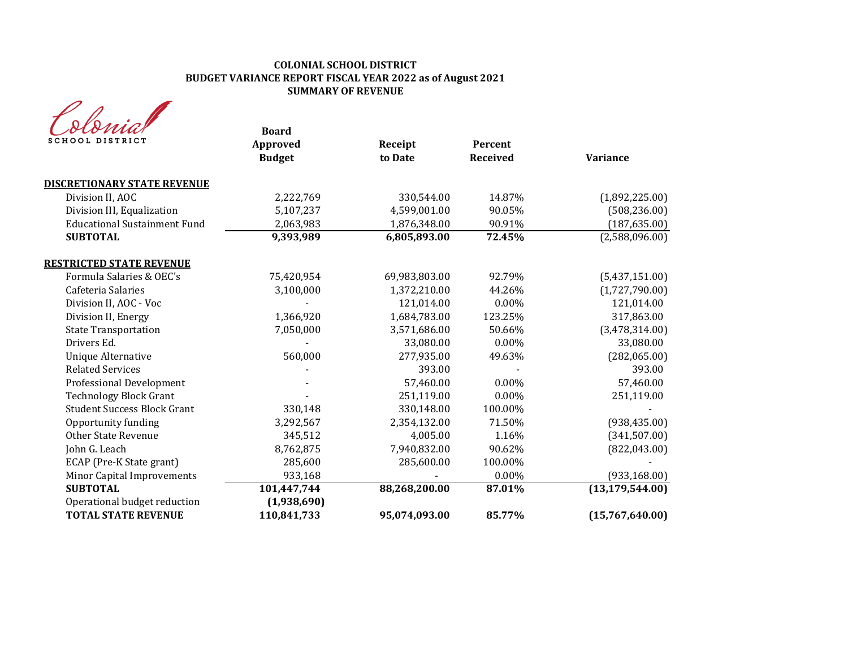#### **COLONIAL SCHOOL DISTRICT BUDGET VARIANCE REPORT FISCAL YEAR 2022 as of August 2021 SUMMARY OF REVENUE**

| <b>SCHOOL DISTRICT</b>                                     | <b>Board</b><br><b>Approved</b><br><b>Budget</b> | Receipt<br>to Date | Percent<br><b>Received</b> | <b>Variance</b>   |
|------------------------------------------------------------|--------------------------------------------------|--------------------|----------------------------|-------------------|
| <b>DISCRETIONARY STATE REVENUE</b>                         |                                                  |                    |                            |                   |
| Division II, AOC                                           | 2,222,769                                        | 330,544.00         | 14.87%                     | (1,892,225.00)    |
| Division III, Equalization                                 | 5,107,237                                        | 4,599,001.00       | 90.05%                     | (508, 236.00)     |
| <b>Educational Sustainment Fund</b>                        | 2,063,983                                        | 1,876,348.00       | 90.91%                     | (187, 635.00)     |
| <b>SUBTOTAL</b>                                            | 9,393,989                                        | 6,805,893.00       | 72.45%                     | (2,588,096.00)    |
| <b>RESTRICTED STATE REVENUE</b>                            |                                                  |                    |                            |                   |
| Formula Salaries & OEC's                                   | 75,420,954                                       | 69,983,803.00      | 92.79%                     | (5,437,151.00)    |
| Cafeteria Salaries                                         | 3,100,000                                        | 1,372,210.00       | 44.26%                     | (1,727,790.00)    |
| Division II, AOC - Voc                                     |                                                  | 121,014.00         | 0.00%                      | 121,014.00        |
| Division II, Energy                                        | 1,366,920                                        | 1,684,783.00       | 123.25%                    | 317,863.00        |
| <b>State Transportation</b>                                | 7,050,000                                        | 3,571,686.00       | 50.66%                     | (3,478,314.00)    |
| Drivers Ed.                                                |                                                  | 33,080.00          | $0.00\%$                   | 33,080.00         |
| <b>Unique Alternative</b>                                  | 560,000                                          | 277,935.00         | 49.63%                     | (282,065.00)      |
| <b>Related Services</b>                                    |                                                  | 393.00             |                            | 393.00            |
| Professional Development                                   |                                                  | 57,460.00          | 0.00%                      | 57,460.00         |
| <b>Technology Block Grant</b>                              |                                                  | 251,119.00         | 0.00%                      | 251,119.00        |
| <b>Student Success Block Grant</b>                         | 330,148                                          | 330,148.00         | 100.00%                    |                   |
| Opportunity funding                                        | 3,292,567                                        | 2,354,132.00       | 71.50%                     | (938, 435.00)     |
| <b>Other State Revenue</b>                                 | 345,512                                          | 4,005.00           | 1.16%                      | (341,507.00)      |
| John G. Leach                                              | 8,762,875                                        | 7,940,832.00       | 90.62%                     | (822, 043.00)     |
| ECAP (Pre-K State grant)                                   | 285,600                                          | 285,600.00         | 100.00%                    |                   |
| Minor Capital Improvements                                 | 933,168                                          |                    | 0.00%                      | (933, 168.00)     |
| <b>SUBTOTAL</b>                                            | 101,447,744                                      | 88,268,200.00      | 87.01%                     | (13, 179, 544.00) |
| Operational budget reduction<br><b>TOTAL STATE REVENUE</b> | (1,938,690)<br>110,841,733                       | 95,074,093.00      | 85.77%                     | (15,767,640.00)   |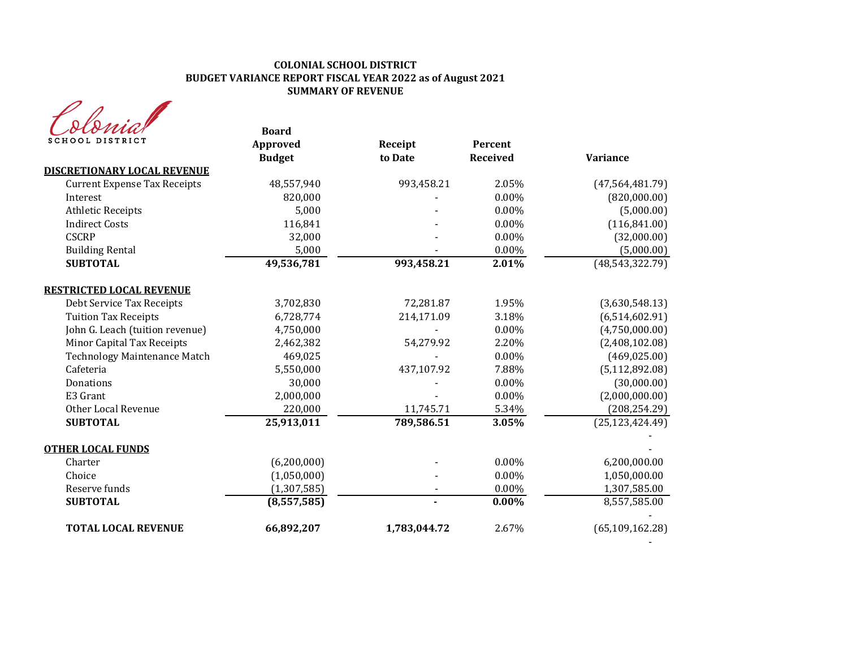#### **COLONIAL SCHOOL DISTRICT BUDGET VARIANCE REPORT FISCAL YEAR 2022 as of August 2021 SUMMARY OF REVENUE**

| rna             |
|-----------------|
| SCHOOL DISTRICT |

| stoma.                              | <b>Board</b>  |              |          |                   |
|-------------------------------------|---------------|--------------|----------|-------------------|
| <b>SCHOOL DISTRICT</b>              | Approved      | Receipt      | Percent  |                   |
|                                     | <b>Budget</b> | to Date      | Received | Variance          |
| <b>DISCRETIONARY LOCAL REVENUE</b>  |               |              |          |                   |
| <b>Current Expense Tax Receipts</b> | 48,557,940    | 993,458.21   | 2.05%    | (47, 564, 481.79) |
| Interest                            | 820,000       |              | 0.00%    | (820,000.00)      |
| <b>Athletic Receipts</b>            | 5,000         |              | $0.00\%$ | (5,000.00)        |
| <b>Indirect Costs</b>               | 116,841       |              | 0.00%    | (116, 841.00)     |
| <b>CSCRP</b>                        | 32,000        |              | 0.00%    | (32,000.00)       |
| <b>Building Rental</b>              | 5,000         |              | 0.00%    | (5,000.00)        |
| <b>SUBTOTAL</b>                     | 49,536,781    | 993,458.21   | 2.01%    | (48, 543, 322.79) |
| <b>RESTRICTED LOCAL REVENUE</b>     |               |              |          |                   |
| Debt Service Tax Receipts           | 3,702,830     | 72,281.87    | 1.95%    | (3,630,548.13)    |
| <b>Tuition Tax Receipts</b>         | 6,728,774     | 214,171.09   | 3.18%    | (6,514,602.91)    |
| John G. Leach (tuition revenue)     | 4,750,000     |              | 0.00%    | (4,750,000.00)    |
| Minor Capital Tax Receipts          | 2,462,382     | 54,279.92    | 2.20%    | (2,408,102.08)    |
| <b>Technology Maintenance Match</b> | 469,025       |              | 0.00%    | (469, 025.00)     |
| Cafeteria                           | 5,550,000     | 437,107.92   | 7.88%    | (5, 112, 892.08)  |
| Donations                           | 30,000        |              | 0.00%    | (30,000.00)       |
| E3 Grant                            | 2,000,000     |              | 0.00%    | (2,000,000.00)    |
| Other Local Revenue                 | 220,000       | 11,745.71    | 5.34%    | (208, 254.29)     |
| <b>SUBTOTAL</b>                     | 25,913,011    | 789,586.51   | 3.05%    | (25, 123, 424.49) |
| <b>OTHER LOCAL FUNDS</b>            |               |              |          |                   |
| Charter                             | (6,200,000)   |              | 0.00%    | 6,200,000.00      |
| Choice                              | (1,050,000)   |              | 0.00%    | 1,050,000.00      |
| Reserve funds                       | (1, 307, 585) |              | 0.00%    | 1,307,585.00      |
| <b>SUBTOTAL</b>                     | (8,557,585)   |              | $0.00\%$ | 8,557,585.00      |
| <b>TOTAL LOCAL REVENUE</b>          | 66,892,207    | 1,783,044.72 | 2.67%    | (65, 109, 162.28) |

- 1990 - 1990 - 1990 - 1990 - 1991 - 1992 - 1994 - 1994 - 1994 - 1994 - 1994 - 1994 - 1994 - 1994 - 1994 - 199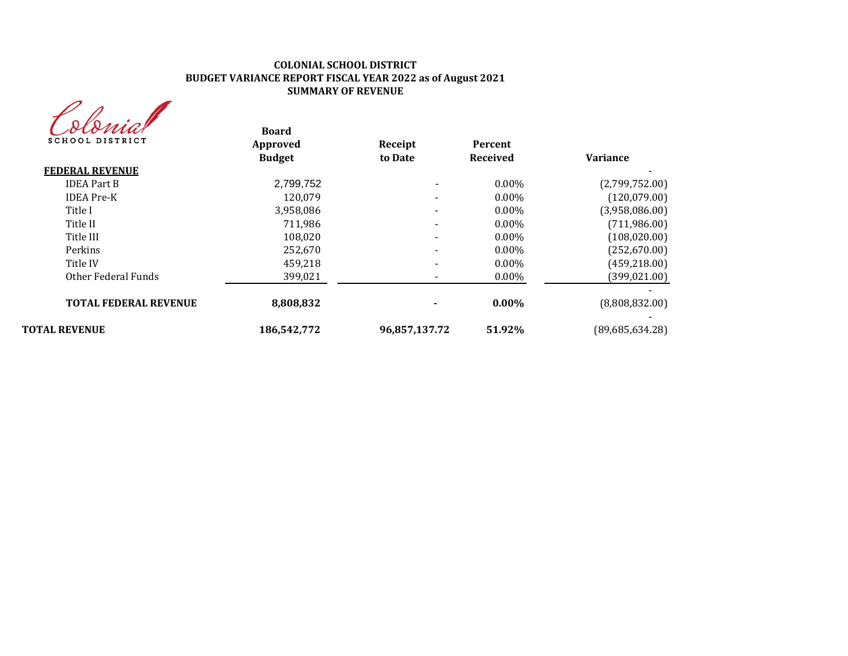#### **COLONIAL SCHOOL DISTRICT BUDGET VARIANCE REPORT FISCAL YEAR 2022 as of August 2021 SUMMARY OF REVENUE**

| owa             |
|-----------------|
| SCHOOL DISTRICT |

| (DOMAN<br><b>SCHOOL DISTRICT</b> | <b>Board</b><br>Approved | Receipt       | Percent  |                 |
|----------------------------------|--------------------------|---------------|----------|-----------------|
|                                  | <b>Budget</b>            | to Date       | Received | <b>Variance</b> |
| <b>FEDERAL REVENUE</b>           |                          |               |          |                 |
| <b>IDEA Part B</b>               | 2,799,752                |               | $0.00\%$ | (2,799,752.00)  |
| <b>IDEA</b> Pre-K                | 120,079                  |               | $0.00\%$ | (120,079.00)    |
| Title I                          | 3,958,086                |               | $0.00\%$ | (3,958,086.00)  |
| Title II                         | 711.986                  |               | $0.00\%$ | (711,986.00)    |
| Title III                        | 108,020                  |               | $0.00\%$ | (108, 020.00)   |
| Perkins                          | 252,670                  |               | $0.00\%$ | (252,670.00)    |
| Title IV                         | 459,218                  |               | $0.00\%$ | (459, 218.00)   |
| Other Federal Funds              | 399,021                  |               | $0.00\%$ | (399, 021.00)   |
| <b>TOTAL FEDERAL REVENUE</b>     | 8,808,832                |               | $0.00\%$ | (8,808,832.00)  |
| <b>TOTAL REVENUE</b>             | 186,542,772              | 96,857,137.72 | 51.92%   | (89,685,634.28) |
|                                  |                          |               |          |                 |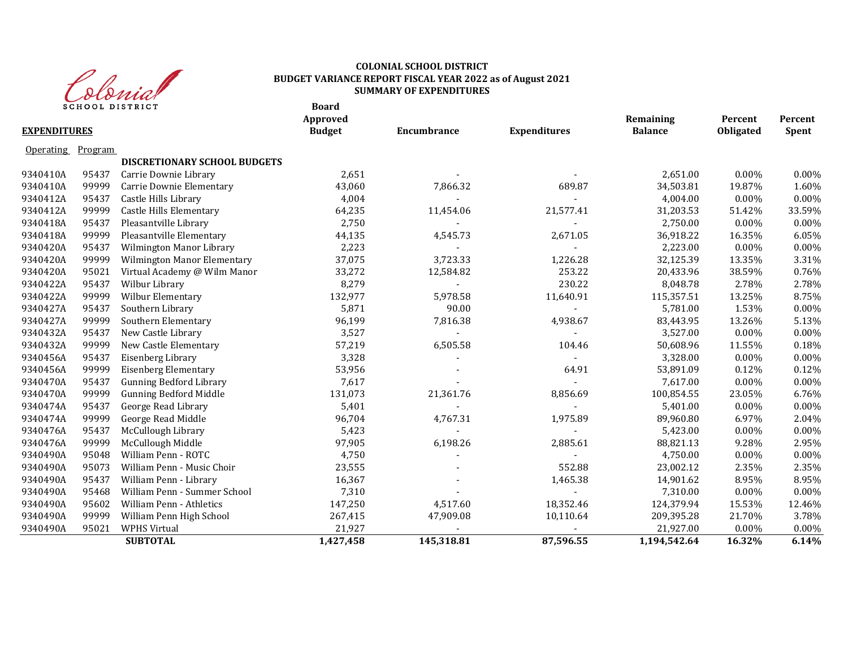

#### **COLONIAL SCHOOL DISTRICT BUDGET VARIANCE REPORT FISCAL YEAR 2022 as of August 2021 SUMMARY OF EXPENDITURES**

|                     |         | <b>SCHOOL DISTRICT</b>         | <b>Board</b><br>Approved |             |                          | Remaining      | Percent   | Percent  |
|---------------------|---------|--------------------------------|--------------------------|-------------|--------------------------|----------------|-----------|----------|
| <b>EXPENDITURES</b> |         |                                | <b>Budget</b>            | Encumbrance | <b>Expenditures</b>      | <b>Balance</b> | Obligated | Spent    |
| <b>Operating</b>    | Program |                                |                          |             |                          |                |           |          |
|                     |         | DISCRETIONARY SCHOOL BUDGETS   |                          |             |                          |                |           |          |
| 9340410A            | 95437   | Carrie Downie Library          | 2,651                    |             |                          | 2,651.00       | 0.00%     | 0.00%    |
| 9340410A            | 99999   | Carrie Downie Elementary       | 43,060                   | 7,866.32    | 689.87                   | 34,503.81      | 19.87%    | 1.60%    |
| 9340412A            | 95437   | Castle Hills Library           | 4,004                    |             | $\overline{\phantom{a}}$ | 4,004.00       | 0.00%     | 0.00%    |
| 9340412A            | 99999   | Castle Hills Elementary        | 64,235                   | 11,454.06   | 21,577.41                | 31,203.53      | 51.42%    | 33.59%   |
| 9340418A            | 95437   | Pleasantville Library          | 2,750                    |             |                          | 2,750.00       | 0.00%     | 0.00%    |
| 9340418A            | 99999   | Pleasantville Elementary       | 44,135                   | 4,545.73    | 2,671.05                 | 36,918.22      | 16.35%    | 6.05%    |
| 9340420A            | 95437   | Wilmington Manor Library       | 2,223                    |             |                          | 2,223.00       | 0.00%     | 0.00%    |
| 9340420A            | 99999   | Wilmington Manor Elementary    | 37,075                   | 3,723.33    | 1,226.28                 | 32,125.39      | 13.35%    | 3.31%    |
| 9340420A            | 95021   | Virtual Academy @ Wilm Manor   | 33,272                   | 12,584.82   | 253.22                   | 20,433.96      | 38.59%    | 0.76%    |
| 9340422A            | 95437   | Wilbur Library                 | 8,279                    |             | 230.22                   | 8,048.78       | 2.78%     | 2.78%    |
| 9340422A            | 99999   | Wilbur Elementary              | 132,977                  | 5,978.58    | 11,640.91                | 115,357.51     | 13.25%    | 8.75%    |
| 9340427A            | 95437   | Southern Library               | 5,871                    | 90.00       |                          | 5,781.00       | 1.53%     | 0.00%    |
| 9340427A            | 99999   | Southern Elementary            | 96,199                   | 7,816.38    | 4,938.67                 | 83,443.95      | 13.26%    | 5.13%    |
| 9340432A            | 95437   | New Castle Library             | 3,527                    |             |                          | 3,527.00       | 0.00%     | 0.00%    |
| 9340432A            | 99999   | New Castle Elementary          | 57,219                   | 6,505.58    | 104.46                   | 50,608.96      | 11.55%    | 0.18%    |
| 9340456A            | 95437   | Eisenberg Library              | 3,328                    |             |                          | 3,328.00       | 0.00%     | 0.00%    |
| 9340456A            | 99999   | <b>Eisenberg Elementary</b>    | 53,956                   |             | 64.91                    | 53,891.09      | 0.12%     | 0.12%    |
| 9340470A            | 95437   | <b>Gunning Bedford Library</b> | 7,617                    |             |                          | 7,617.00       | 0.00%     | $0.00\%$ |
| 9340470A            | 99999   | <b>Gunning Bedford Middle</b>  | 131,073                  | 21,361.76   | 8,856.69                 | 100,854.55     | 23.05%    | 6.76%    |
| 9340474A            | 95437   | George Read Library            | 5,401                    |             |                          | 5,401.00       | 0.00%     | 0.00%    |
| 9340474A            | 99999   | George Read Middle             | 96,704                   | 4,767.31    | 1,975.89                 | 89,960.80      | 6.97%     | 2.04%    |
| 9340476A            | 95437   | McCullough Library             | 5,423                    |             |                          | 5,423.00       | 0.00%     | 0.00%    |
| 9340476A            | 99999   | McCullough Middle              | 97,905                   | 6,198.26    | 2,885.61                 | 88,821.13      | 9.28%     | 2.95%    |
| 9340490A            | 95048   | William Penn - ROTC            | 4,750                    |             |                          | 4,750.00       | $0.00\%$  | 0.00%    |
| 9340490A            | 95073   | William Penn - Music Choir     | 23,555                   |             | 552.88                   | 23,002.12      | 2.35%     | 2.35%    |
| 9340490A            | 95437   | William Penn - Library         | 16,367                   |             | 1,465.38                 | 14,901.62      | 8.95%     | 8.95%    |
| 9340490A            | 95468   | William Penn - Summer School   | 7,310                    |             |                          | 7,310.00       | 0.00%     | 0.00%    |
| 9340490A            | 95602   | William Penn - Athletics       | 147,250                  | 4,517.60    | 18,352.46                | 124,379.94     | 15.53%    | 12.46%   |
| 9340490A            | 99999   | William Penn High School       | 267,415                  | 47,909.08   | 10,110.64                | 209,395.28     | 21.70%    | 3.78%    |
| 9340490A            | 95021   | <b>WPHS Virtual</b>            | 21,927                   |             |                          | 21,927.00      | 0.00%     | 0.00%    |
|                     |         | <b>SUBTOTAL</b>                | 1,427,458                | 145,318.81  | 87,596.55                | 1,194,542.64   | 16.32%    | 6.14%    |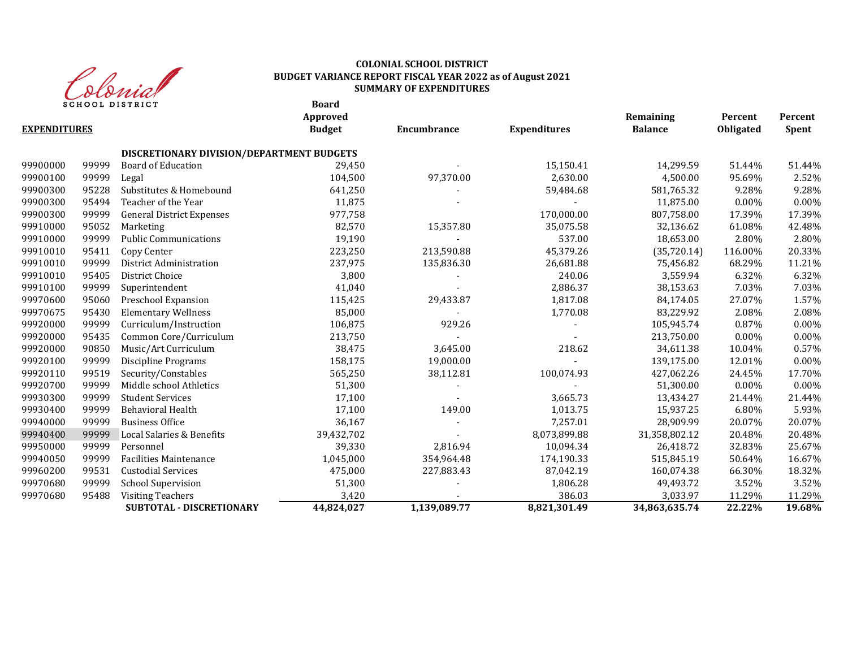

### **COLONIAL SCHOOL DISTRICT BUDGET VARIANCE REPORT FISCAL YEAR 2022 as of August 2021 SUMMARY OF EXPENDITURES**

**Board**

|                     |       |                                           | Approved      |              |                     | Remaining      | Percent   | Percent      |
|---------------------|-------|-------------------------------------------|---------------|--------------|---------------------|----------------|-----------|--------------|
| <b>EXPENDITURES</b> |       |                                           | <b>Budget</b> | Encumbrance  | <b>Expenditures</b> | <b>Balance</b> | Obligated | <b>Spent</b> |
|                     |       | DISCRETIONARY DIVISION/DEPARTMENT BUDGETS |               |              |                     |                |           |              |
| 99900000            | 99999 | Board of Education                        | 29,450        |              | 15,150.41           | 14,299.59      | 51.44%    | 51.44%       |
| 99900100            | 99999 | Legal                                     | 104,500       | 97,370.00    | 2,630.00            | 4,500.00       | 95.69%    | 2.52%        |
| 99900300            | 95228 | Substitutes & Homebound                   | 641,250       |              | 59,484.68           | 581,765.32     | 9.28%     | 9.28%        |
| 99900300            | 95494 | Teacher of the Year                       | 11,875        |              |                     | 11,875.00      | $0.00\%$  | $0.00\%$     |
| 99900300            | 99999 | <b>General District Expenses</b>          | 977,758       |              | 170,000.00          | 807,758.00     | 17.39%    | 17.39%       |
| 99910000            | 95052 | Marketing                                 | 82,570        | 15,357.80    | 35,075.58           | 32,136.62      | 61.08%    | 42.48%       |
| 99910000            | 99999 | <b>Public Communications</b>              | 19,190        |              | 537.00              | 18,653.00      | 2.80%     | 2.80%        |
| 99910010            | 95411 | Copy Center                               | 223,250       | 213,590.88   | 45,379.26           | (35, 720.14)   | 116.00%   | 20.33%       |
| 99910010            | 99999 | District Administration                   | 237,975       | 135,836.30   | 26,681.88           | 75,456.82      | 68.29%    | 11.21%       |
| 99910010            | 95405 | District Choice                           | 3,800         |              | 240.06              | 3,559.94       | 6.32%     | 6.32%        |
| 99910100            | 99999 | Superintendent                            | 41,040        |              | 2,886.37            | 38,153.63      | 7.03%     | 7.03%        |
| 99970600            | 95060 | Preschool Expansion                       | 115,425       | 29,433.87    | 1,817.08            | 84,174.05      | 27.07%    | 1.57%        |
| 99970675            | 95430 | <b>Elementary Wellness</b>                | 85,000        |              | 1,770.08            | 83,229.92      | 2.08%     | 2.08%        |
| 99920000            | 99999 | Curriculum/Instruction                    | 106,875       | 929.26       |                     | 105,945.74     | 0.87%     | 0.00%        |
| 99920000            | 95435 | Common Core/Curriculum                    | 213,750       |              |                     | 213,750.00     | $0.00\%$  | 0.00%        |
| 99920000            | 90850 | Music/Art Curriculum                      | 38,475        | 3,645.00     | 218.62              | 34,611.38      | 10.04%    | 0.57%        |
| 99920100            | 99999 | Discipline Programs                       | 158,175       | 19,000.00    |                     | 139,175.00     | 12.01%    | $0.00\%$     |
| 99920110            | 99519 | Security/Constables                       | 565,250       | 38,112.81    | 100,074.93          | 427,062.26     | 24.45%    | 17.70%       |
| 99920700            | 99999 | Middle school Athletics                   | 51,300        |              |                     | 51,300.00      | $0.00\%$  | $0.00\%$     |
| 99930300            | 99999 | <b>Student Services</b>                   | 17,100        |              | 3,665.73            | 13,434.27      | 21.44%    | 21.44%       |
| 99930400            | 99999 | Behavioral Health                         | 17,100        | 149.00       | 1,013.75            | 15,937.25      | 6.80%     | 5.93%        |
| 99940000            | 99999 | <b>Business Office</b>                    | 36,167        |              | 7,257.01            | 28,909.99      | 20.07%    | 20.07%       |
| 99940400            | 99999 | Local Salaries & Benefits                 | 39,432,702    |              | 8,073,899.88        | 31,358,802.12  | 20.48%    | 20.48%       |
| 99950000            | 99999 | Personnel                                 | 39,330        | 2,816.94     | 10,094.34           | 26,418.72      | 32.83%    | 25.67%       |
| 99940050            | 99999 | <b>Facilities Maintenance</b>             | 1,045,000     | 354,964.48   | 174,190.33          | 515,845.19     | 50.64%    | 16.67%       |
| 99960200            | 99531 | <b>Custodial Services</b>                 | 475,000       | 227,883.43   | 87,042.19           | 160,074.38     | 66.30%    | 18.32%       |
| 99970680            | 99999 | <b>School Supervision</b>                 | 51,300        |              | 1,806.28            | 49,493.72      | 3.52%     | 3.52%        |
| 99970680            | 95488 | <b>Visiting Teachers</b>                  | 3,420         |              | 386.03              | 3,033.97       | 11.29%    | 11.29%       |
|                     |       | <b>SUBTOTAL - DISCRETIONARY</b>           | 44.824.027    | 1.139.089.77 | 8.821.301.49        | 34,863,635.74  | 22.22%    | 19.68%       |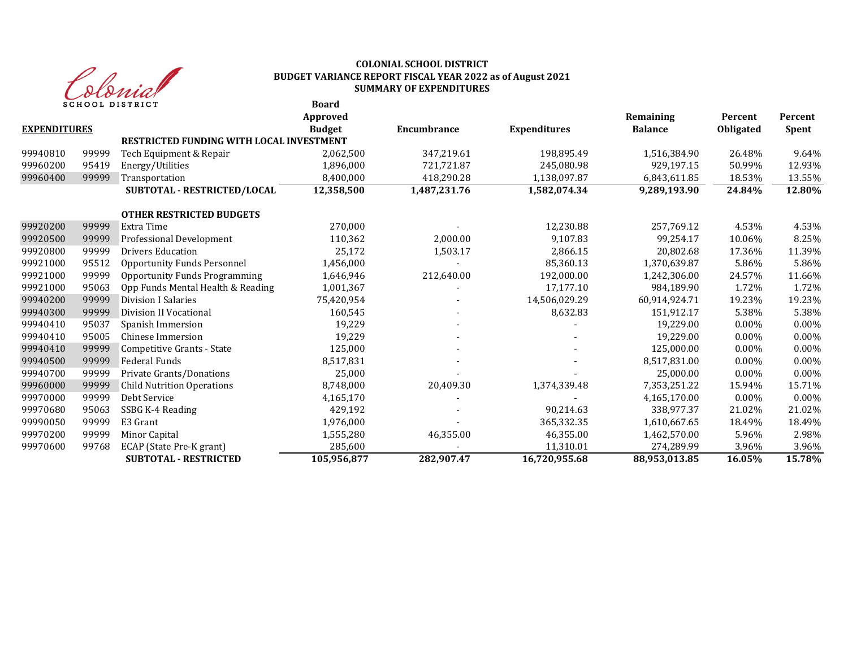

#### **Board COLONIAL SCHOOL DISTRICT BUDGET VARIANCE REPORT FISCAL YEAR 2022 as of August 2021 SUMMARY OF EXPENDITURES**

|                     |       | SCHOOL DISIRICI                                 | DUAI U<br>Approved |              |                     | Remaining      | Percent   | Percent      |
|---------------------|-------|-------------------------------------------------|--------------------|--------------|---------------------|----------------|-----------|--------------|
| <b>EXPENDITURES</b> |       |                                                 | <b>Budget</b>      | Encumbrance  | <b>Expenditures</b> | <b>Balance</b> | Obligated | <b>Spent</b> |
|                     |       | <b>RESTRICTED FUNDING WITH LOCAL INVESTMENT</b> |                    |              |                     |                |           |              |
| 99940810            | 99999 | Tech Equipment & Repair                         | 2,062,500          | 347,219.61   | 198.895.49          | 1,516,384.90   | 26.48%    | 9.64%        |
| 99960200            | 95419 | Energy/Utilities                                | 1,896,000          | 721,721.87   | 245,080.98          | 929,197.15     | 50.99%    | 12.93%       |
| 99960400            | 99999 | Transportation                                  | 8,400,000          | 418,290.28   | 1,138,097.87        | 6,843,611.85   | 18.53%    | 13.55%       |
|                     |       | SUBTOTAL - RESTRICTED/LOCAL                     | 12,358,500         | 1,487,231.76 | 1,582,074.34        | 9,289,193.90   | 24.84%    | 12.80%       |
|                     |       | <b>OTHER RESTRICTED BUDGETS</b>                 |                    |              |                     |                |           |              |
| 99920200            | 99999 | Extra Time                                      | 270.000            |              | 12,230.88           | 257,769.12     | 4.53%     | 4.53%        |
| 99920500            | 99999 | Professional Development                        | 110,362            | 2,000.00     | 9,107.83            | 99,254.17      | 10.06%    | 8.25%        |
| 99920800            | 99999 | <b>Drivers Education</b>                        | 25,172             | 1,503.17     | 2,866.15            | 20,802.68      | 17.36%    | 11.39%       |
| 99921000            | 95512 | Opportunity Funds Personnel                     | 1,456,000          |              | 85,360.13           | 1,370,639.87   | 5.86%     | 5.86%        |
| 99921000            | 99999 | <b>Opportunity Funds Programming</b>            | 1,646,946          | 212,640.00   | 192,000.00          | 1,242,306.00   | 24.57%    | 11.66%       |
| 99921000            | 95063 | Opp Funds Mental Health & Reading               | 1,001,367          |              | 17.177.10           | 984.189.90     | 1.72%     | 1.72%        |
| 99940200            | 99999 | <b>Division I Salaries</b>                      | 75,420,954         |              | 14,506,029.29       | 60,914,924.71  | 19.23%    | 19.23%       |
| 99940300            | 99999 | Division II Vocational                          | 160,545            |              | 8,632.83            | 151.912.17     | 5.38%     | 5.38%        |
| 99940410            | 95037 | Spanish Immersion                               | 19,229             |              |                     | 19,229.00      | $0.00\%$  | 0.00%        |
| 99940410            | 95005 | Chinese Immersion                               | 19,229             |              |                     | 19,229.00      | $0.00\%$  | 0.00%        |
| 99940410            | 99999 | Competitive Grants - State                      | 125,000            |              |                     | 125,000.00     | $0.00\%$  | 0.00%        |
| 99940500            | 99999 | <b>Federal Funds</b>                            | 8,517,831          |              |                     | 8,517,831.00   | $0.00\%$  | $0.00\%$     |
| 99940700            | 99999 | Private Grants/Donations                        | 25,000             |              |                     | 25,000.00      | $0.00\%$  | 0.00%        |
| 99960000            | 99999 | <b>Child Nutrition Operations</b>               | 8,748,000          | 20,409.30    | 1,374,339.48        | 7,353,251.22   | 15.94%    | 15.71%       |
| 99970000            | 99999 | Debt Service                                    | 4,165,170          |              |                     | 4,165,170.00   | $0.00\%$  | $0.00\%$     |
| 99970680            | 95063 | SSBG K-4 Reading                                | 429,192            |              | 90.214.63           | 338.977.37     | 21.02%    | 21.02%       |
| 99990050            | 99999 | E3 Grant                                        | 1,976,000          |              | 365,332.35          | 1,610,667.65   | 18.49%    | 18.49%       |
| 99970200            | 99999 | Minor Capital                                   | 1,555,280          | 46,355.00    | 46,355.00           | 1,462,570.00   | 5.96%     | 2.98%        |
| 99970600            | 99768 | ECAP (State Pre-K grant)                        | 285,600            |              | 11,310.01           | 274,289.99     | 3.96%     | 3.96%        |
|                     |       | <b>SUBTOTAL - RESTRICTED</b>                    | 105,956,877        | 282,907.47   | 16,720,955.68       | 88,953,013.85  | 16.05%    | 15.78%       |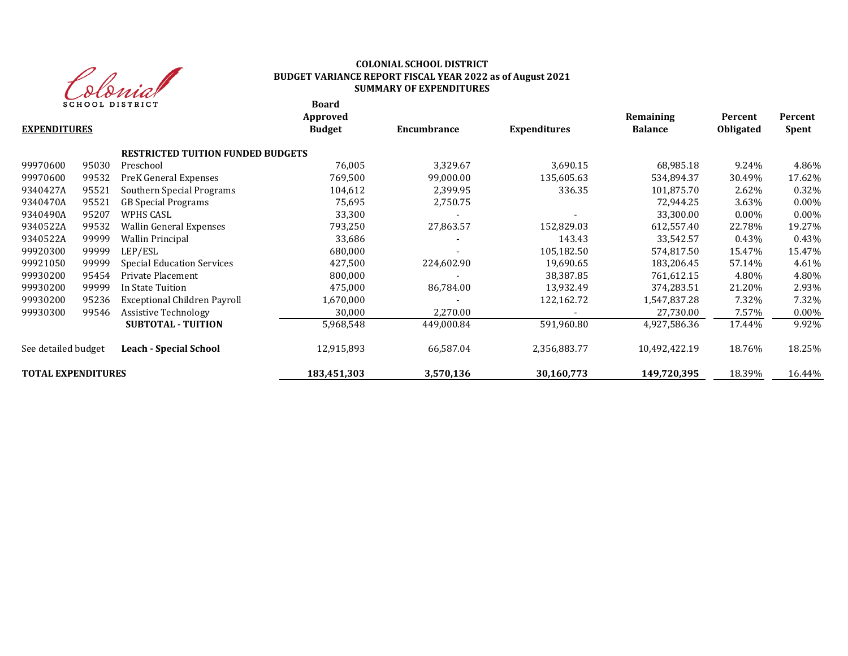

#### **COLONIAL SCHOOL DISTRICT BUDGET VARIANCE REPORT FISCAL YEAR 2022 as of August 2021 SUMMARY OF EXPENDITURES**

**Board**

| <b>EXPENDITURES</b>       |       |                                          | Approved<br><b>Budget</b> | <b>Encumbrance</b> | <b>Expenditures</b> | Remaining<br><b>Balance</b> | Percent<br><b>Obligated</b> | Percent<br>Spent |
|---------------------------|-------|------------------------------------------|---------------------------|--------------------|---------------------|-----------------------------|-----------------------------|------------------|
|                           |       | <b>RESTRICTED TUITION FUNDED BUDGETS</b> |                           |                    |                     |                             |                             |                  |
| 99970600                  | 95030 | Preschool                                | 76,005                    | 3,329.67           | 3,690.15            | 68,985.18                   | 9.24%                       | 4.86%            |
| 99970600                  | 99532 | PreK General Expenses                    | 769,500                   | 99,000.00          | 135,605.63          | 534,894.37                  | 30.49%                      | 17.62%           |
| 9340427A                  | 95521 | Southern Special Programs                | 104,612                   | 2,399.95           | 336.35              | 101,875.70                  | 2.62%                       | 0.32%            |
| 9340470A                  | 95521 | <b>GB</b> Special Programs               | 75,695                    | 2,750.75           |                     | 72,944.25                   | 3.63%                       | $0.00\%$         |
| 9340490A                  | 95207 | WPHS CASL                                | 33,300                    |                    |                     | 33.300.00                   | $0.00\%$                    | $0.00\%$         |
| 9340522A                  | 99532 | Wallin General Expenses                  | 793,250                   | 27,863.57          | 152,829.03          | 612,557.40                  | 22.78%                      | 19.27%           |
| 9340522A                  | 99999 | <b>Wallin Principal</b>                  | 33,686                    |                    | 143.43              | 33,542.57                   | 0.43%                       | 0.43%            |
| 99920300                  | 99999 | LEP/ESL                                  | 680,000                   |                    | 105,182.50          | 574,817.50                  | 15.47%                      | 15.47%           |
| 99921050                  | 99999 | <b>Special Education Services</b>        | 427,500                   | 224,602.90         | 19,690.65           | 183,206.45                  | 57.14%                      | 4.61%            |
| 99930200                  | 95454 | Private Placement                        | 800,000                   |                    | 38,387.85           | 761,612.15                  | 4.80%                       | 4.80%            |
| 99930200                  | 99999 | In State Tuition                         | 475,000                   | 86,784.00          | 13,932.49           | 374,283.51                  | 21.20%                      | 2.93%            |
| 99930200                  | 95236 | Exceptional Children Payroll             | 1,670,000                 |                    | 122,162.72          | 1,547,837.28                | 7.32%                       | 7.32%            |
| 99930300                  | 99546 | Assistive Technology                     | 30,000                    | 2,270.00           |                     | 27,730.00                   | 7.57%                       | $0.00\%$         |
|                           |       | <b>SUBTOTAL - TUITION</b>                | 5,968,548                 | 449,000.84         | 591,960.80          | 4,927,586.36                | 17.44%                      | 9.92%            |
| See detailed budget       |       | <b>Leach - Special School</b>            | 12,915,893                | 66,587.04          | 2,356,883.77        | 10,492,422.19               | 18.76%                      | 18.25%           |
| <b>TOTAL EXPENDITURES</b> |       |                                          | 183,451,303               | 3,570,136          | 30,160,773          | 149,720,395                 | 18.39%                      | 16.44%           |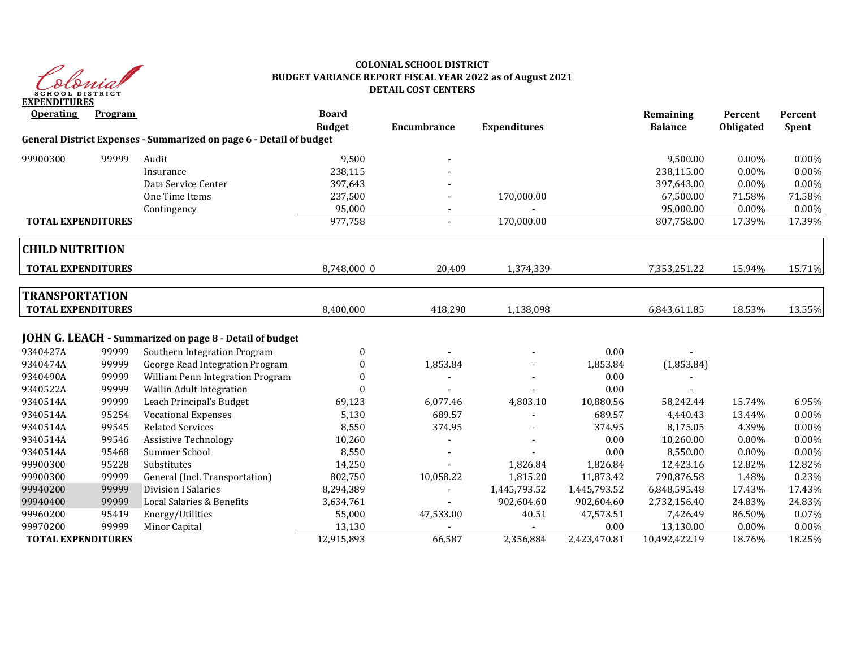

#### **COLONIAL SCHOOL DISTRICT BUDGET VARIANCE REPORT FISCAL YEAR 2022 as of August 2021 DETAIL COST CENTERS**

| <b>Operating</b>                                   | Program |                                                                     | <b>Board</b><br><b>Budget</b> | Encumbrance              | <b>Expenditures</b> |              | Remaining<br><b>Balance</b> | Percent<br>Obligated | Percent<br>Spent |
|----------------------------------------------------|---------|---------------------------------------------------------------------|-------------------------------|--------------------------|---------------------|--------------|-----------------------------|----------------------|------------------|
|                                                    |         | General District Expenses - Summarized on page 6 - Detail of budget |                               |                          |                     |              |                             |                      |                  |
| 99900300                                           | 99999   | Audit                                                               | 9,500                         |                          |                     |              | 9,500.00                    | $0.00\%$             | 0.00%            |
|                                                    |         | Insurance                                                           | 238,115                       |                          |                     |              | 238,115.00                  | $0.00\%$             | 0.00%            |
|                                                    |         | Data Service Center                                                 | 397,643                       |                          |                     |              | 397,643.00                  | $0.00\%$             | 0.00%            |
|                                                    |         | One Time Items                                                      | 237,500                       |                          | 170,000.00          |              | 67,500.00                   | 71.58%               | 71.58%           |
|                                                    |         | Contingency                                                         | 95,000                        |                          |                     |              | 95,000.00                   | $0.00\%$             | 0.00%            |
| <b>TOTAL EXPENDITURES</b>                          |         |                                                                     | 977,758                       | $\overline{\phantom{0}}$ | 170,000.00          |              | 807,758.00                  | 17.39%               | 17.39%           |
| <b>CHILD NUTRITION</b>                             |         |                                                                     |                               |                          |                     |              |                             |                      |                  |
| <b>TOTAL EXPENDITURES</b>                          |         |                                                                     | 8,748,000 0                   | 20,409                   | 1,374,339           |              | 7,353,251.22                | 15.94%               | 15.71%           |
| <b>TRANSPORTATION</b><br><b>TOTAL EXPENDITURES</b> |         |                                                                     | 8,400,000                     | 418,290                  | 1,138,098           |              | 6,843,611.85                | 18.53%               | 13.55%           |
|                                                    |         | JOHN G. LEACH - Summarized on page 8 - Detail of budget             |                               |                          |                     |              |                             |                      |                  |
| 9340427A                                           | 99999   | Southern Integration Program                                        | 0                             |                          |                     | 0.00         |                             |                      |                  |
| 9340474A                                           | 99999   | George Read Integration Program                                     | $\Omega$                      | 1,853.84                 |                     | 1,853.84     | (1,853.84)                  |                      |                  |
| 9340490A                                           | 99999   | William Penn Integration Program                                    | $\Omega$                      |                          |                     | 0.00         |                             |                      |                  |
| 9340522A                                           | 99999   | <b>Wallin Adult Integration</b>                                     |                               |                          |                     | 0.00         |                             |                      |                  |
| 9340514A                                           | 99999   | Leach Principal's Budget                                            | 69,123                        | 6,077.46                 | 4,803.10            | 10,880.56    | 58,242.44                   | 15.74%               | 6.95%            |
| 9340514A                                           | 95254   | <b>Vocational Expenses</b>                                          | 5,130                         | 689.57                   |                     | 689.57       | 4,440.43                    | 13.44%               | 0.00%            |
| 9340514A                                           | 99545   | <b>Related Services</b>                                             | 8,550                         | 374.95                   |                     | 374.95       | 8,175.05                    | 4.39%                | 0.00%            |
| 9340514A                                           | 99546   | <b>Assistive Technology</b>                                         | 10,260                        |                          |                     | $0.00\,$     | 10,260.00                   | 0.00%                | 0.00%            |
| 9340514A                                           | 95468   | Summer School                                                       | 8,550                         |                          |                     | 0.00         | 8,550.00                    | $0.00\%$             | 0.00%            |
| 99900300                                           | 95228   | Substitutes                                                         | 14,250                        |                          | 1,826.84            | 1,826.84     | 12,423.16                   | 12.82%               | 12.82%           |
| 99900300                                           | 99999   | General (Incl. Transportation)                                      | 802,750                       | 10,058.22                | 1,815.20            | 11,873.42    | 790,876.58                  | 1.48%                | 0.23%            |
| 99940200                                           | 99999   | <b>Division I Salaries</b>                                          | 8,294,389                     |                          | 1,445,793.52        | 1,445,793.52 | 6,848,595.48                | 17.43%               | 17.43%           |
| 99940400                                           | 99999   | Local Salaries & Benefits                                           | 3,634,761                     |                          | 902,604.60          | 902,604.60   | 2,732,156.40                | 24.83%               | 24.83%           |
| 99960200                                           | 95419   | Energy/Utilities                                                    | 55,000                        | 47,533.00                | 40.51               | 47,573.51    | 7,426.49                    | 86.50%               | 0.07%            |
| 99970200                                           | 99999   | Minor Capital                                                       | 13,130                        |                          |                     | 0.00         | 13,130.00                   | 0.00%                | 0.00%            |
| <b>TOTAL EXPENDITURES</b>                          |         |                                                                     | 12,915,893                    | 66,587                   | 2,356,884           | 2,423,470.81 | 10,492,422.19               | 18.76%               | 18.25%           |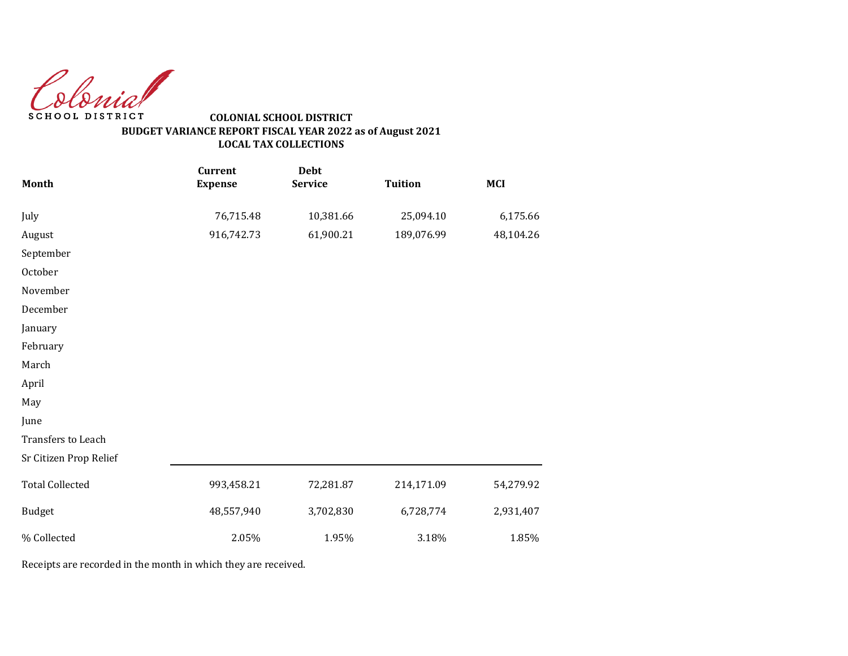Colonial SCHOOL DISTRICT

### **COLONIAL SCHOOL DISTRICT BUDGET VARIANCE REPORT FISCAL YEAR 2022 as of August 2021 LOCAL TAX COLLECTIONS**

| Month                  | <b>Current</b><br><b>Expense</b> | <b>Debt</b><br><b>Service</b> | <b>Tuition</b> | <b>MCI</b> |
|------------------------|----------------------------------|-------------------------------|----------------|------------|
|                        |                                  |                               |                |            |
| July                   | 76,715.48                        | 10,381.66                     | 25,094.10      | 6,175.66   |
| August                 | 916,742.73                       | 61,900.21                     | 189,076.99     | 48,104.26  |
| September              |                                  |                               |                |            |
| October                |                                  |                               |                |            |
| November               |                                  |                               |                |            |
| December               |                                  |                               |                |            |
| January                |                                  |                               |                |            |
| February               |                                  |                               |                |            |
| March                  |                                  |                               |                |            |
| April                  |                                  |                               |                |            |
| May                    |                                  |                               |                |            |
| June                   |                                  |                               |                |            |
| Transfers to Leach     |                                  |                               |                |            |
| Sr Citizen Prop Relief |                                  |                               |                |            |
| <b>Total Collected</b> | 993,458.21                       | 72,281.87                     | 214,171.09     | 54,279.92  |
| <b>Budget</b>          | 48,557,940                       | 3,702,830                     | 6,728,774      | 2,931,407  |
| % Collected            | 2.05%                            | 1.95%                         | 3.18%          | 1.85%      |

Receipts are recorded in the month in which they are received.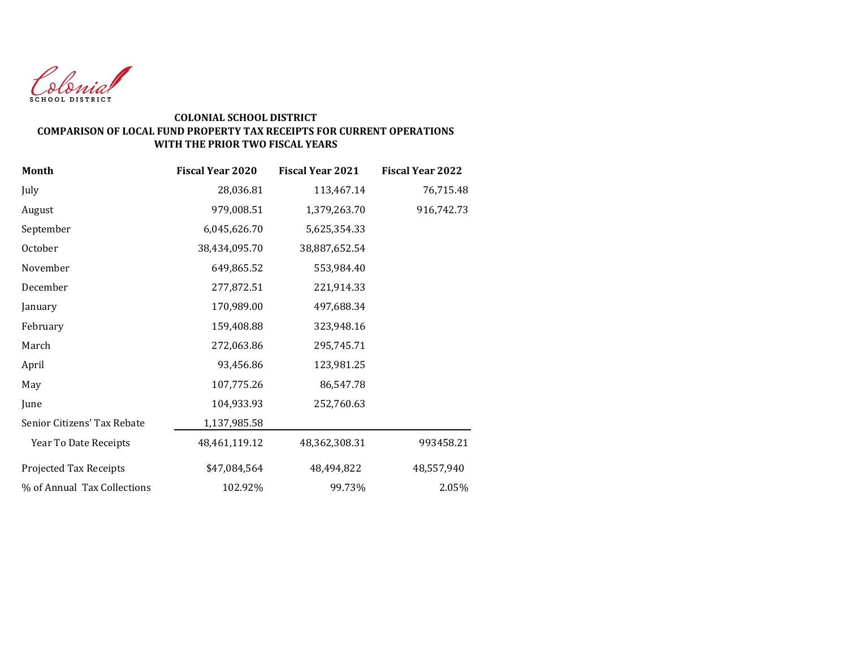

#### **COLONIAL SCHOOL DISTRICT COMPARISON OF LOCAL FUND PROPERTY TAX RECEIPTS FOR CURRENT OPERATIONS WITH THE PRIOR TWO FISCAL YEARS**

| <b>Month</b>                | <b>Fiscal Year 2020</b> | <b>Fiscal Year 2021</b> | <b>Fiscal Year 2022</b> |
|-----------------------------|-------------------------|-------------------------|-------------------------|
| July                        | 28,036.81               | 113,467.14              | 76,715.48               |
| August                      | 979,008.51              | 1,379,263.70            | 916,742.73              |
| September                   | 6,045,626.70            | 5,625,354.33            |                         |
| October                     | 38,434,095.70           | 38,887,652.54           |                         |
| November                    | 649,865.52              | 553,984.40              |                         |
| December                    | 277,872.51              | 221,914.33              |                         |
| January                     | 170,989.00              | 497,688.34              |                         |
| February                    | 159,408.88              | 323,948.16              |                         |
| March                       | 272,063.86              | 295,745.71              |                         |
| April                       | 93,456.86               | 123,981.25              |                         |
| May                         | 107,775.26              | 86,547.78               |                         |
| June                        | 104,933.93              | 252,760.63              |                         |
| Senior Citizens' Tax Rebate | 1,137,985.58            |                         |                         |
| Year To Date Receipts       | 48,461,119.12           | 48,362,308.31           | 993458.21               |
| Projected Tax Receipts      | \$47,084,564            | 48,494,822              | 48,557,940              |
| % of Annual Tax Collections | 102.92%                 | 99.73%                  | 2.05%                   |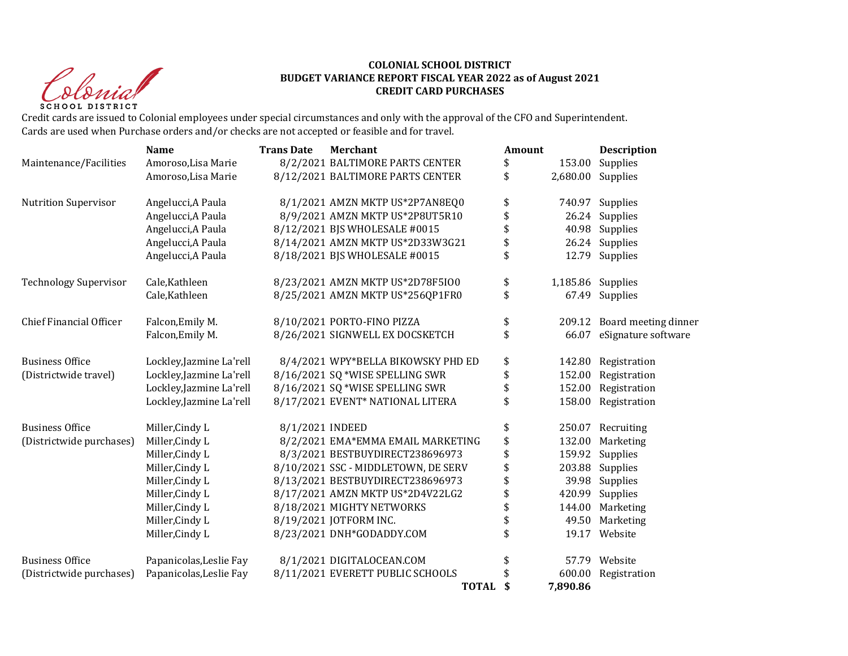Christ **SCHOOL DISTRICT** 

#### **COLONIAL SCHOOL DISTRICT BUDGET VARIANCE REPORT FISCAL YEAR 2022 as of August 2021 CREDIT CARD PURCHASES**

Credit cards are issued to Colonial employees under special circumstances and only with the approval of the CFO and Superintendent. Cards are used when Purchase orders and/or checks are not accepted or feasible and for travel.

|                                | <b>Name</b>              | <b>Trans Date</b> | <b>Merchant</b>                     | Amount |          | <b>Description</b>   |
|--------------------------------|--------------------------|-------------------|-------------------------------------|--------|----------|----------------------|
| Maintenance/Facilities         | Amoroso, Lisa Marie      |                   | 8/2/2021 BALTIMORE PARTS CENTER     | \$     | 153.00   | Supplies             |
|                                | Amoroso, Lisa Marie      |                   | 8/12/2021 BALTIMORE PARTS CENTER    | \$     |          | 2,680.00 Supplies    |
| <b>Nutrition Supervisor</b>    | Angelucci, A Paula       |                   | 8/1/2021 AMZN MKTP US*2P7AN8EQ0     | \$     |          | 740.97 Supplies      |
|                                | Angelucci, A Paula       |                   | 8/9/2021 AMZN MKTP US*2P8UT5R10     | \$     | 26.24    | Supplies             |
|                                | Angelucci, A Paula       |                   | 8/12/2021 BJS WHOLESALE #0015       | \$     | 40.98    | Supplies             |
|                                | Angelucci, A Paula       |                   | 8/14/2021 AMZN MKTP US*2D33W3G21    | \$     |          | 26.24 Supplies       |
|                                | Angelucci, A Paula       |                   | 8/18/2021 BJS WHOLESALE #0015       | \$     |          | 12.79 Supplies       |
| <b>Technology Supervisor</b>   | Cale, Kathleen           |                   | 8/23/2021 AMZN MKTP US*2D78F5I00    | \$     |          | 1,185.86 Supplies    |
|                                | Cale, Kathleen           |                   | 8/25/2021 AMZN MKTP US*256QP1FR0    | \$     |          | 67.49 Supplies       |
| <b>Chief Financial Officer</b> | Falcon, Emily M.         |                   | 8/10/2021 PORTO-FINO PIZZA          | \$     | 209.12   | Board meeting dinner |
|                                | Falcon, Emily M.         |                   | 8/26/2021 SIGNWELL EX DOCSKETCH     | \$     | 66.07    | eSignature software  |
| <b>Business Office</b>         | Lockley, Jazmine La'rell |                   | 8/4/2021 WPY*BELLA BIKOWSKY PHD ED  | \$     | 142.80   | Registration         |
| (Districtwide travel)          | Lockley, Jazmine La'rell |                   | 8/16/2021 SQ *WISE SPELLING SWR     | \$     | 152.00   | Registration         |
|                                | Lockley, Jazmine La'rell |                   | 8/16/2021 SQ *WISE SPELLING SWR     | \$     | 152.00   | Registration         |
|                                | Lockley, Jazmine La'rell |                   | 8/17/2021 EVENT* NATIONAL LITERA    | \$     |          | 158.00 Registration  |
| <b>Business Office</b>         | Miller, Cindy L          | 8/1/2021 INDEED   |                                     | \$     | 250.07   | Recruiting           |
| (Districtwide purchases)       | Miller, Cindy L          |                   | 8/2/2021 EMA*EMMA EMAIL MARKETING   | \$     | 132.00   | Marketing            |
|                                | Miller, Cindy L          |                   | 8/3/2021 BESTBUYDIRECT238696973     | \$     | 159.92   | Supplies             |
|                                | Miller, Cindy L          |                   | 8/10/2021 SSC - MIDDLETOWN, DE SERV | \$     | 203.88   | Supplies             |
|                                | Miller, Cindy L          |                   | 8/13/2021 BESTBUYDIRECT238696973    | \$     | 39.98    | Supplies             |
|                                | Miller, Cindy L          |                   | 8/17/2021 AMZN MKTP US*2D4V22LG2    | \$     | 420.99   | Supplies             |
|                                | Miller, Cindy L          |                   | 8/18/2021 MIGHTY NETWORKS           | \$     | 144.00   | Marketing            |
|                                | Miller, Cindy L          |                   | 8/19/2021 JOTFORM INC.              | \$     | 49.50    | Marketing            |
|                                | Miller, Cindy L          |                   | 8/23/2021 DNH*GODADDY.COM           | \$     |          | 19.17 Website        |
| <b>Business Office</b>         | Papanicolas, Leslie Fay  |                   | 8/1/2021 DIGITALOCEAN.COM           | \$     |          | 57.79 Website        |
| (Districtwide purchases)       | Papanicolas, Leslie Fay  |                   | 8/11/2021 EVERETT PUBLIC SCHOOLS    |        | 600.00   | Registration         |
|                                |                          |                   | <b>TOTAL</b>                        | \$     | 7,890.86 |                      |